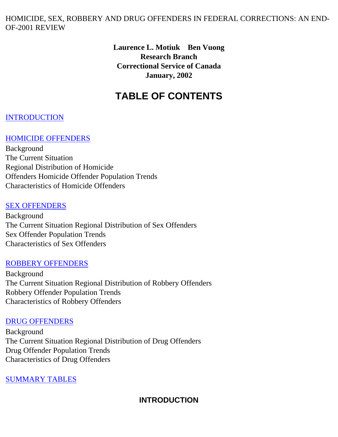#### HOMICIDE, SEX, ROBBERY AND DRUG OFFENDERS IN FEDERAL CORRECTIONS: AN END-OF-2001 REVIEW

**Laurence L. Motiuk Ben Vuong Research Branch Correctional Service of Canada January, 2002** 

# **TABLE OF CONTENTS**

#### **INTRODUCTION**

#### [HOMICIDE OFFENDERS](#page-1-0)

Background The Current Situation Regional Distribution of Homicide Offenders Homicide Offender Population Trends Characteristics of Homicide Offenders

#### [SEX OFFENDERS](#page-4-0)

Background The Current Situation Regional Distribution of Sex Offenders Sex Offender Population Trends Characteristics of Sex Offenders

#### [ROBBERY OFFENDERS](#page-6-0)

Background The Current Situation Regional Distribution of Robbery Offenders Robbery Offender Population Trends Characteristics of Robbery Offenders

#### [DRUG OFFENDERS](#page-9-0)

Background The Current Situation Regional Distribution of Drug Offenders Drug Offender Population Trends Characteristics of Drug Offenders

#### <span id="page-0-0"></span>[SUMMARY TABLES](#page-11-0)

#### **INTRODUCTION**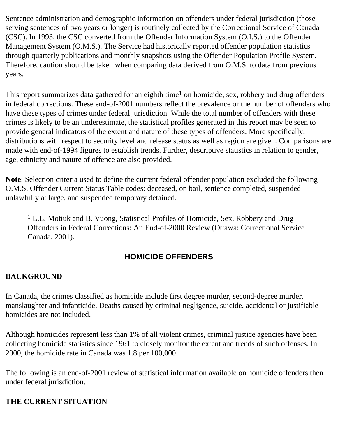Sentence administration and demographic information on offenders under federal jurisdiction (those serving sentences of two years or longer) is routinely collected by the Correctional Service of Canada (CSC). In 1993, the CSC converted from the Offender Information System (O.I.S.) to the Offender Management System (O.M.S.). The Service had historically reported offender population statistics through quarterly publications and monthly snapshots using the Offender Population Profile System. Therefore, caution should be taken when comparing data derived from O.M.S. to data from previous years.

This report summarizes data gathered for an eighth time<sup>1</sup> on homicide, sex, robbery and drug offenders in federal corrections. These end-of-2001 numbers reflect the prevalence or the number of offenders who have these types of crimes under federal jurisdiction. While the total number of offenders with these crimes is likely to be an underestimate, the statistical profiles generated in this report may be seen to provide general indicators of the extent and nature of these types of offenders. More specifically, distributions with respect to security level and release status as well as region are given. Comparisons are made with end-of-1994 figures to establish trends. Further, descriptive statistics in relation to gender, age, ethnicity and nature of offence are also provided.

**Note**: Selection criteria used to define the current federal offender population excluded the following O.M.S. Offender Current Status Table codes: deceased, on bail, sentence completed, suspended unlawfully at large, and suspended temporary detained.

<sup>1</sup> L.L. Motiuk and B. Vuong, Statistical Profiles of Homicide, Sex, Robbery and Drug Offenders in Federal Corrections: An End-of-2000 Review (Ottawa: Correctional Service Canada, 2001).

### **HOMICIDE OFFENDERS**

### <span id="page-1-0"></span>**BACKGROUND**

In Canada, the crimes classified as homicide include first degree murder, second-degree murder, manslaughter and infanticide. Deaths caused by criminal negligence, suicide, accidental or justifiable homicides are not included.

Although homicides represent less than 1% of all violent crimes, criminal justice agencies have been collecting homicide statistics since 1961 to closely monitor the extent and trends of such offenses. In 2000, the homicide rate in Canada was 1.8 per 100,000.

The following is an end-of-2001 review of statistical information available on homicide offenders then under federal jurisdiction.

### **THE CURRENT SITUATION**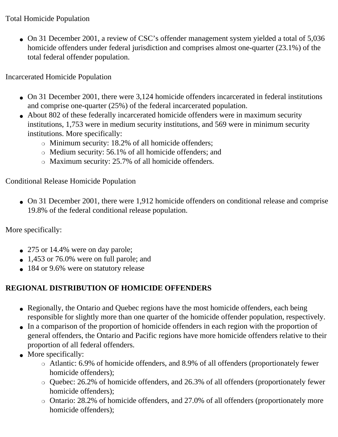### Total Homicide Population

• On 31 December 2001, a review of CSC's offender management system yielded a total of 5,036 homicide offenders under federal jurisdiction and comprises almost one-quarter (23.1%) of the total federal offender population.

Incarcerated Homicide Population

- On 31 December 2001, there were 3,124 homicide offenders incarcerated in federal institutions and comprise one-quarter (25%) of the federal incarcerated population.
- About 802 of these federally incarcerated homicide offenders were in maximum security institutions, 1,753 were in medium security institutions, and 569 were in minimum security institutions. More specifically:
	- $\circ$  Minimum security: 18.2% of all homicide offenders;
	- $\circ$  Medium security: 56.1% of all homicide offenders; and
	- $\circ$  Maximum security: 25.7% of all homicide offenders.

Conditional Release Homicide Population

• On 31 December 2001, there were 1,912 homicide offenders on conditional release and comprise 19.8% of the federal conditional release population.

More specifically:

- 275 or 14.4% were on day parole;
- $\bullet$  1,453 or 76.0% were on full parole; and
- 184 or 9.6% were on statutory release

# **REGIONAL DISTRIBUTION OF HOMICIDE OFFENDERS**

- Regionally, the Ontario and Quebec regions have the most homicide offenders, each being responsible for slightly more than one quarter of the homicide offender population, respectively.
- In a comparison of the proportion of homicide offenders in each region with the proportion of general offenders, the Ontario and Pacific regions have more homicide offenders relative to their proportion of all federal offenders.
- More specifically:
	- ❍ Atlantic: 6.9% of homicide offenders, and 8.9% of all offenders (proportionately fewer homicide offenders);
	- ❍ Quebec: 26.2% of homicide offenders, and 26.3% of all offenders (proportionately fewer homicide offenders);
	- $\circ$  Ontario: 28.2% of homicide offenders, and 27.0% of all offenders (proportionately more homicide offenders);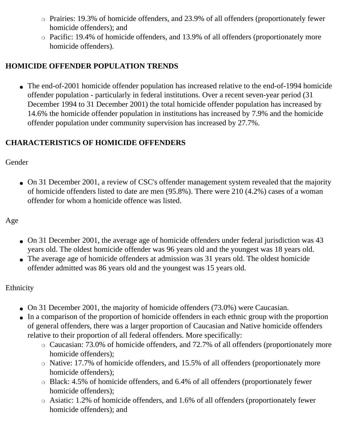- Prairies: 19.3% of homicide offenders, and 23.9% of all offenders (proportionately fewer homicide offenders); and
- $\circ$  Pacific: 19.4% of homicide offenders, and 13.9% of all offenders (proportionately more homicide offenders).

## **HOMICIDE OFFENDER POPULATION TRENDS**

• The end-of-2001 homicide offender population has increased relative to the end-of-1994 homicide offender population - particularly in federal institutions. Over a recent seven-year period (31 December 1994 to 31 December 2001) the total homicide offender population has increased by 14.6% the homicide offender population in institutions has increased by 7.9% and the homicide offender population under community supervision has increased by 27.7%.

### **CHARACTERISTICS OF HOMICIDE OFFENDERS**

### **Gender**

• On 31 December 2001, a review of CSC's offender management system revealed that the majority of homicide offenders listed to date are men (95.8%). There were 210 (4.2%) cases of a woman offender for whom a homicide offence was listed.

## Age

- On 31 December 2001, the average age of homicide offenders under federal jurisdiction was 43 years old. The oldest homicide offender was 96 years old and the youngest was 18 years old.
- The average age of homicide offenders at admission was 31 years old. The oldest homicide offender admitted was 86 years old and the youngest was 15 years old.

### Ethnicity

- On 31 December 2001, the majority of homicide offenders (73.0%) were Caucasian.
- In a comparison of the proportion of homicide offenders in each ethnic group with the proportion of general offenders, there was a larger proportion of Caucasian and Native homicide offenders relative to their proportion of all federal offenders. More specifically:
	- Caucasian: 73.0% of homicide offenders, and 72.7% of all offenders (proportionately more homicide offenders);
	- Native: 17.7% of homicide offenders, and 15.5% of all offenders (proportionately more homicide offenders);
	- $\circ$  Black: 4.5% of homicide offenders, and 6.4% of all offenders (proportionately fewer homicide offenders);
	- $\circ$  Asiatic: 1.2% of homicide offenders, and 1.6% of all offenders (proportionately fewer homicide offenders); and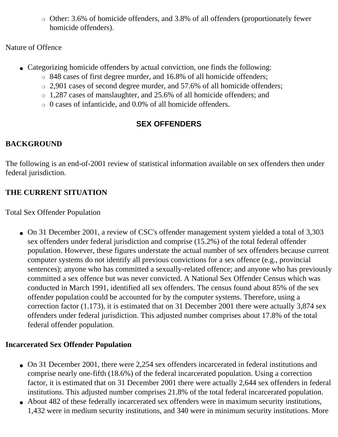$\circ$  Other: 3.6% of homicide offenders, and 3.8% of all offenders (proportionately fewer homicide offenders).

Nature of Offence

- Categorizing homicide offenders by actual conviction, one finds the following:
	- $\circ$  848 cases of first degree murder, and 16.8% of all homicide offenders;
	- $\circ$  2,901 cases of second degree murder, and 57.6% of all homicide offenders;
	- ❍ 1,287 cases of manslaughter, and 25.6% of all homicide offenders; and
	- $\circ$  0 cases of infanticide, and 0.0% of all homicide offenders.

# **SEX OFFENDERS**

# <span id="page-4-0"></span>**BACKGROUND**

The following is an end-of-2001 review of statistical information available on sex offenders then under federal jurisdiction.

# **THE CURRENT SITUATION**

Total Sex Offender Population

• On 31 December 2001, a review of CSC's offender management system yielded a total of 3,303 sex offenders under federal jurisdiction and comprise (15.2%) of the total federal offender population. However, these figures understate the actual number of sex offenders because current computer systems do not identify all previous convictions for a sex offence (e.g., provincial sentences); anyone who has committed a sexually-related offence; and anyone who has previously committed a sex offence but was never convicted. A National Sex Offender Census which was conducted in March 1991, identified all sex offenders. The census found about 85% of the sex offender population could be accounted for by the computer systems. Therefore, using a correction factor (1.173), it is estimated that on 31 December 2001 there were actually 3,874 sex offenders under federal jurisdiction. This adjusted number comprises about 17.8% of the total federal offender population.

### **Incarcerated Sex Offender Population**

- On 31 December 2001, there were 2,254 sex offenders incarcerated in federal institutions and comprise nearly one-fifth (18.6%) of the federal incarcerated population. Using a correction factor, it is estimated that on 31 December 2001 there were actually 2,644 sex offenders in federal institutions. This adjusted number comprises 21.8% of the total federal incarcerated population.
- About 482 of these federally incarcerated sex offenders were in maximum security institutions, 1,432 were in medium security institutions, and 340 were in minimum security institutions. More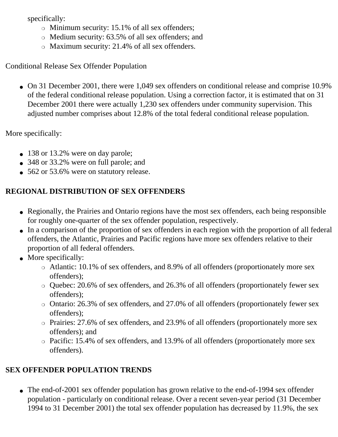specifically:

- $\circ$  Minimum security: 15.1% of all sex offenders;
- $\circ$  Medium security: 63.5% of all sex offenders; and
- $\circ$  Maximum security: 21.4% of all sex offenders.

Conditional Release Sex Offender Population

• On 31 December 2001, there were 1,049 sex offenders on conditional release and comprise 10.9% of the federal conditional release population. Using a correction factor, it is estimated that on 31 December 2001 there were actually 1,230 sex offenders under community supervision. This adjusted number comprises about 12.8% of the total federal conditional release population.

More specifically:

- 138 or 13.2% were on day parole;
- 348 or 33.2% were on full parole; and
- 562 or 53.6% were on statutory release.

# **REGIONAL DISTRIBUTION OF SEX OFFENDERS**

- Regionally, the Prairies and Ontario regions have the most sex offenders, each being responsible for roughly one-quarter of the sex offender population, respectively.
- In a comparison of the proportion of sex offenders in each region with the proportion of all federal offenders, the Atlantic, Prairies and Pacific regions have more sex offenders relative to their proportion of all federal offenders.
- More specifically:
	- ❍ Atlantic: 10.1% of sex offenders, and 8.9% of all offenders (proportionately more sex offenders);
	- $\circ$  Quebec: 20.6% of sex offenders, and 26.3% of all offenders (proportionately fewer sex offenders);
	- $\circ$  Ontario: 26.3% of sex offenders, and 27.0% of all offenders (proportionately fewer sex offenders);
	- $\circ$  Prairies: 27.6% of sex offenders, and 23.9% of all offenders (proportionately more sex offenders); and
	- $\circ$  Pacific: 15.4% of sex offenders, and 13.9% of all offenders (proportionately more sex offenders).

# **SEX OFFENDER POPULATION TRENDS**

• The end-of-2001 sex offender population has grown relative to the end-of-1994 sex offender population - particularly on conditional release. Over a recent seven-year period (31 December 1994 to 31 December 2001) the total sex offender population has decreased by 11.9%, the sex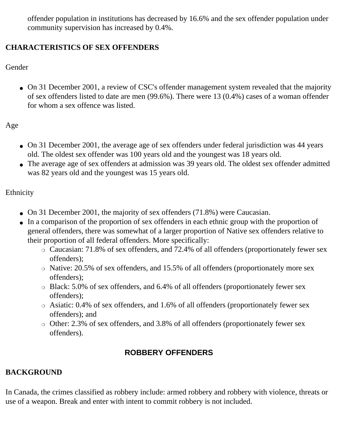offender population in institutions has decreased by 16.6% and the sex offender population under community supervision has increased by 0.4%.

### **CHARACTERISTICS OF SEX OFFENDERS**

Gender

• On 31 December 2001, a review of CSC's offender management system revealed that the majority of sex offenders listed to date are men (99.6%). There were 13 (0.4%) cases of a woman offender for whom a sex offence was listed.

Age

- On 31 December 2001, the average age of sex offenders under federal jurisdiction was 44 years old. The oldest sex offender was 100 years old and the youngest was 18 years old.
- The average age of sex offenders at admission was 39 years old. The oldest sex offender admitted was 82 years old and the youngest was 15 years old.

Ethnicity

- On 31 December 2001, the majority of sex offenders (71.8%) were Caucasian.
- In a comparison of the proportion of sex offenders in each ethnic group with the proportion of general offenders, there was somewhat of a larger proportion of Native sex offenders relative to their proportion of all federal offenders. More specifically:
	- $\circ$  Caucasian: 71.8% of sex offenders, and 72.4% of all offenders (proportionately fewer sex offenders);
	- o Native: 20.5% of sex offenders, and 15.5% of all offenders (proportionately more sex offenders);
	- $\circ$  Black: 5.0% of sex offenders, and 6.4% of all offenders (proportionately fewer sex offenders);
	- $\circ$  Asiatic: 0.4% of sex offenders, and 1.6% of all offenders (proportionately fewer sex offenders); and
	- $\circ$  Other: 2.3% of sex offenders, and 3.8% of all offenders (proportionately fewer sex offenders).

# **ROBBERY OFFENDERS**

# <span id="page-6-0"></span>**BACKGROUND**

In Canada, the crimes classified as robbery include: armed robbery and robbery with violence, threats or use of a weapon. Break and enter with intent to commit robbery is not included.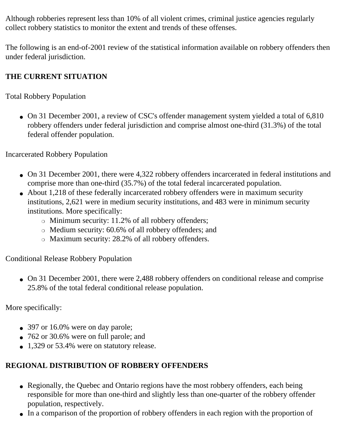Although robberies represent less than 10% of all violent crimes, criminal justice agencies regularly collect robbery statistics to monitor the extent and trends of these offenses.

The following is an end-of-2001 review of the statistical information available on robbery offenders then under federal jurisdiction.

### **THE CURRENT SITUATION**

Total Robbery Population

• On 31 December 2001, a review of CSC's offender management system yielded a total of 6,810 robbery offenders under federal jurisdiction and comprise almost one-third (31.3%) of the total federal offender population.

Incarcerated Robbery Population

- On 31 December 2001, there were 4,322 robbery offenders incarcerated in federal institutions and comprise more than one-third (35.7%) of the total federal incarcerated population.
- About 1,218 of these federally incarcerated robbery offenders were in maximum security institutions, 2,621 were in medium security institutions, and 483 were in minimum security institutions. More specifically:
	- $\circ$  Minimum security: 11.2% of all robbery offenders;
	- $\circ$  Medium security: 60.6% of all robbery offenders; and
	- o Maximum security: 28.2% of all robbery offenders.

Conditional Release Robbery Population

• On 31 December 2001, there were 2,488 robbery offenders on conditional release and comprise 25.8% of the total federal conditional release population.

More specifically:

- 397 or 16.0% were on day parole;
- 762 or 30.6% were on full parole; and
- 1,329 or 53.4% were on statutory release.

### **REGIONAL DISTRIBUTION OF ROBBERY OFFENDERS**

- Regionally, the Quebec and Ontario regions have the most robbery offenders, each being responsible for more than one-third and slightly less than one-quarter of the robbery offender population, respectively.
- In a comparison of the proportion of robbery offenders in each region with the proportion of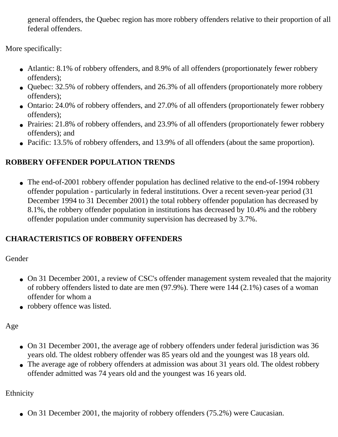general offenders, the Quebec region has more robbery offenders relative to their proportion of all federal offenders.

More specifically:

- Atlantic: 8.1% of robbery offenders, and 8.9% of all offenders (proportionately fewer robbery offenders);
- Quebec: 32.5% of robbery offenders, and 26.3% of all offenders (proportionately more robbery offenders);
- Ontario: 24.0% of robbery offenders, and 27.0% of all offenders (proportionately fewer robbery offenders);
- Prairies: 21.8% of robbery offenders, and 23.9% of all offenders (proportionately fewer robbery offenders); and
- Pacific: 13.5% of robbery offenders, and 13.9% of all offenders (about the same proportion).

## **ROBBERY OFFENDER POPULATION TRENDS**

• The end-of-2001 robbery offender population has declined relative to the end-of-1994 robbery offender population - particularly in federal institutions. Over a recent seven-year period (31 December 1994 to 31 December 2001) the total robbery offender population has decreased by 8.1%, the robbery offender population in institutions has decreased by 10.4% and the robbery offender population under community supervision has decreased by 3.7%.

### **CHARACTERISTICS OF ROBBERY OFFENDERS**

Gender

- On 31 December 2001, a review of CSC's offender management system revealed that the majority of robbery offenders listed to date are men (97.9%). There were 144 (2.1%) cases of a woman offender for whom a
- robbery offence was listed.

Age

- On 31 December 2001, the average age of robbery offenders under federal jurisdiction was 36 years old. The oldest robbery offender was 85 years old and the youngest was 18 years old.
- The average age of robbery offenders at admission was about 31 years old. The oldest robbery offender admitted was 74 years old and the youngest was 16 years old.

Ethnicity

• On 31 December 2001, the majority of robbery offenders (75.2%) were Caucasian.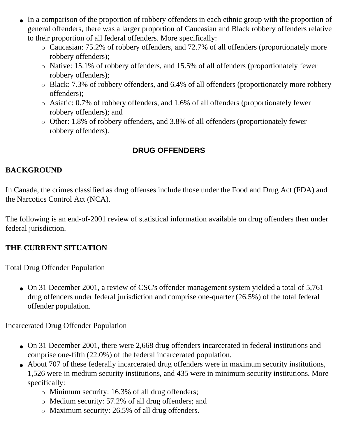- In a comparison of the proportion of robbery offenders in each ethnic group with the proportion of general offenders, there was a larger proportion of Caucasian and Black robbery offenders relative to their proportion of all federal offenders. More specifically:
	- Caucasian: 75.2% of robbery offenders, and 72.7% of all offenders (proportionately more robbery offenders);
	- ❍ Native: 15.1% of robbery offenders, and 15.5% of all offenders (proportionately fewer robbery offenders);
	- Black: 7.3% of robbery offenders, and 6.4% of all offenders (proportionately more robbery offenders);
	- $\circ$  Asiatic: 0.7% of robbery offenders, and 1.6% of all offenders (proportionately fewer robbery offenders); and
	- $\circ$  Other: 1.8% of robbery offenders, and 3.8% of all offenders (proportionately fewer robbery offenders).

### **DRUG OFFENDERS**

#### <span id="page-9-0"></span>**BACKGROUND**

In Canada, the crimes classified as drug offenses include those under the Food and Drug Act (FDA) and the Narcotics Control Act (NCA).

The following is an end-of-2001 review of statistical information available on drug offenders then under federal jurisdiction.

#### **THE CURRENT SITUATION**

Total Drug Offender Population

• On 31 December 2001, a review of CSC's offender management system yielded a total of 5,761 drug offenders under federal jurisdiction and comprise one-quarter (26.5%) of the total federal offender population.

Incarcerated Drug Offender Population

- On 31 December 2001, there were 2,668 drug offenders incarcerated in federal institutions and comprise one-fifth (22.0%) of the federal incarcerated population.
- About 707 of these federally incarcerated drug offenders were in maximum security institutions, 1,526 were in medium security institutions, and 435 were in minimum security institutions. More specifically:
	- $\circ$  Minimum security: 16.3% of all drug offenders;
	- $\circ$  Medium security: 57.2% of all drug offenders; and
	- $\circ$  Maximum security: 26.5% of all drug offenders.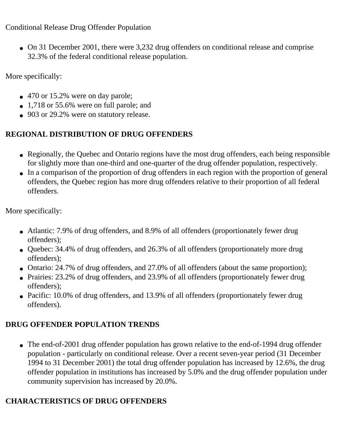## Conditional Release Drug Offender Population

• On 31 December 2001, there were 3,232 drug offenders on conditional release and comprise 32.3% of the federal conditional release population.

More specifically:

- 470 or 15.2% were on day parole;
- $\bullet$  1,718 or 55.6% were on full parole; and
- 903 or 29.2% were on statutory release.

# **REGIONAL DISTRIBUTION OF DRUG OFFENDERS**

- Regionally, the Quebec and Ontario regions have the most drug offenders, each being responsible for slightly more than one-third and one-quarter of the drug offender population, respectively.
- In a comparison of the proportion of drug offenders in each region with the proportion of general offenders, the Quebec region has more drug offenders relative to their proportion of all federal offenders.

More specifically:

- Atlantic: 7.9% of drug offenders, and 8.9% of all offenders (proportionately fewer drug offenders);
- Quebec: 34.4% of drug offenders, and 26.3% of all offenders (proportionately more drug offenders);
- Ontario: 24.7% of drug offenders, and 27.0% of all offenders (about the same proportion);
- Prairies: 23.2% of drug offenders, and 23.9% of all offenders (proportionately fewer drug offenders);
- Pacific: 10.0% of drug offenders, and 13.9% of all offenders (proportionately fewer drug offenders).

# **DRUG OFFENDER POPULATION TRENDS**

• The end-of-2001 drug offender population has grown relative to the end-of-1994 drug offender population - particularly on conditional release. Over a recent seven-year period (31 December 1994 to 31 December 2001) the total drug offender population has increased by 12.6%, the drug offender population in institutions has increased by 5.0% and the drug offender population under community supervision has increased by 20.0%.

# **CHARACTERISTICS OF DRUG OFFENDERS**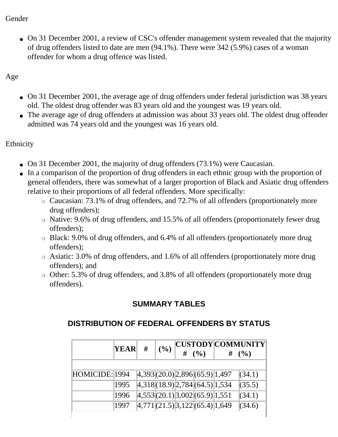#### Gender

• On 31 December 2001, a review of CSC's offender management system revealed that the majority of drug offenders listed to date are men (94.1%). There were 342 (5.9%) cases of a woman offender for whom a drug offence was listed.

Age

- On 31 December 2001, the average age of drug offenders under federal jurisdiction was 38 years old. The oldest drug offender was 83 years old and the youngest was 19 years old.
- The average age of drug offenders at admission was about 33 years old. The oldest drug offender admitted was 74 years old and the youngest was 16 years old.

Ethnicity

- On 31 December 2001, the majority of drug offenders  $(73.1\%)$  were Caucasian.
- In a comparison of the proportion of drug offenders in each ethnic group with the proportion of general offenders, there was somewhat of a larger proportion of Black and Asiatic drug offenders relative to their proportions of all federal offenders. More specifically:
	- $\circ$  Caucasian: 73.1% of drug offenders, and 72.7% of all offenders (proportionately more drug offenders);
	- ❍ Native: 9.6% of drug offenders, and 15.5% of all offenders (proportionately fewer drug offenders);
	- Black: 9.0% of drug offenders, and 6.4% of all offenders (proportionately more drug offenders);
	- ❍ Asiatic: 3.0% of drug offenders, and 1.6% of all offenders (proportionately more drug offenders); and
	- Other: 5.3% of drug offenders, and 3.8% of all offenders (proportionately more drug offenders).

### **SUMMARY TABLES**

### <span id="page-11-0"></span>**DISTRIBUTION OF FEDERAL OFFENDERS BY STATUS**

|                | <b>YEAR</b> | # | (9/0) | # | (%)                                 | # | CUSTODY COMMUNITY <br>(%) |
|----------------|-------------|---|-------|---|-------------------------------------|---|---------------------------|
| HOMICIDE: 1994 |             |   |       |   | 4,393(20.0) 2,896(65.9) 1,497       |   | (34.1)                    |
|                | 1995        |   |       |   | 4,318(18.9) 2,784(64.5) 1,534       |   | (35.5)                    |
|                | 1996        |   |       |   | 4,553(20.1) 3,002(65.9) 1,551       |   | (34.1)                    |
|                | 1997        |   |       |   | $ 4,771 $ (21.5) 3,122 (65.4) 1,649 |   | (34.6)                    |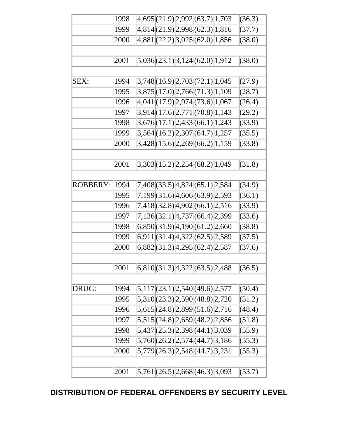| 4,814(21.9)2,998(62.3)1,816<br>(37.7)<br>1999<br>4,881(22.2)3,025(62.0)1,856<br>(38.0)<br>2000<br>5,036(23.1)3,124(62.0)1,912<br>2001<br>(38.0) |  |
|-------------------------------------------------------------------------------------------------------------------------------------------------|--|
|                                                                                                                                                 |  |
|                                                                                                                                                 |  |
|                                                                                                                                                 |  |
|                                                                                                                                                 |  |
|                                                                                                                                                 |  |
| 3,748(16.9)2,703(72.1)1,045<br>1994<br>SEX:<br>(27.9)                                                                                           |  |
| 3,875(17.0)2,766(71.3)1,109<br>(28.7)<br>1995                                                                                                   |  |
| 4,041(17.9) 2,974(73.6) 1,067<br>1996<br>(26.4)                                                                                                 |  |
| 3,914(17.6)[2,771(70.8)]1,143<br>(29.2)<br>1997                                                                                                 |  |
| $3,676(17.1) \mid 2,433(66.1) \mid 1,243$<br>1998<br>(33.9)                                                                                     |  |
| 3,564(16.2)2,307(64.7)1,257<br>(35.5)<br>1999                                                                                                   |  |
| 3,428(15.6) 2,269 (66.2) 1,159<br>(33.8)<br>2000                                                                                                |  |
|                                                                                                                                                 |  |
| 2001<br>3,303(15.2) 2,254 (68.2) 1,049<br>(31.8)                                                                                                |  |
|                                                                                                                                                 |  |
| 7,408(33.5) 4,824 (65.1) 2,584<br>1994<br>(34.9)<br><b>ROBBERY:</b>                                                                             |  |
| 7,199 (31.6) 4,606 (63.9) 2,593<br>(36.1)<br>1995                                                                                               |  |
| 1996<br>7,418(32.8) 4,902 (66.1) 2,516<br>(33.9)                                                                                                |  |
| 7,136(32.1) 4,737 (66.4) 2,399<br>1997<br>(33.6)                                                                                                |  |
| 6,850(31.9) 4,190(61.2) 2,660<br>1998<br>(38.8)                                                                                                 |  |
| 6,911 (31.4) 4,322 (62.5) 2,589<br>1999<br>(37.5)                                                                                               |  |
| 6,882(31.3)4,295(62.4)2,587<br>2000<br>(37.6)                                                                                                   |  |
|                                                                                                                                                 |  |
| 6,810(31.3)4,322(63.5)2,488<br>2001<br>(36.5)                                                                                                   |  |
|                                                                                                                                                 |  |
| 5,117(23.1)2,540(49.6)2,577<br>1994<br>(50.4)<br>DRUG:                                                                                          |  |
| 5,310(23.3) 2,590 (48.8) 2,720<br>1995<br>(51.2)                                                                                                |  |
| 5,615 (24.8) 2,899 (51.6) 2,716<br>1996<br>(48.4)                                                                                               |  |
| 5,515(24.8)2,659(48.2)2,856<br>(51.8)<br>1997                                                                                                   |  |
| 5,437(25.3) 2,398 (44.1) 3,039<br>(55.9)<br>1998                                                                                                |  |
| 5,760(26.2)2,574(44.7)3,186<br>(55.3)<br>1999                                                                                                   |  |
| 5,779 (26.3) 2,548 (44.7) 3,231<br>(55.3)<br>2000                                                                                               |  |
|                                                                                                                                                 |  |
| 2001<br>5,761(26.5)2,668(46.3)3,093<br>(53.7)                                                                                                   |  |

### **DISTRIBUTION OF FEDERAL OFFENDERS BY SECURITY LEVEL**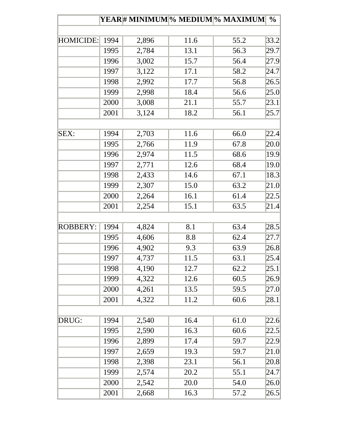|                 |      |       |      | <b>YEAR# MINIMUM % MEDIUM % MAXIMUM </b> | $\frac{0}{0}$ |
|-----------------|------|-------|------|------------------------------------------|---------------|
|                 |      |       |      |                                          |               |
| HOMICIDE:       | 1994 | 2,896 | 11.6 | 55.2                                     | 33.2          |
|                 | 1995 | 2,784 | 13.1 | 56.3                                     | 29.7          |
|                 | 1996 | 3,002 | 15.7 | 56.4                                     | 27.9          |
|                 | 1997 | 3,122 | 17.1 | 58.2                                     | 24.7          |
|                 | 1998 | 2,992 | 17.7 | 56.8                                     | 26.5          |
|                 | 1999 | 2,998 | 18.4 | 56.6                                     | 25.0          |
|                 | 2000 | 3,008 | 21.1 | 55.7                                     | 23.1          |
|                 | 2001 | 3,124 | 18.2 | 56.1                                     | 25.7          |
| SEX:            | 1994 | 2,703 | 11.6 | 66.0                                     | 22.4          |
|                 | 1995 | 2,766 | 11.9 | 67.8                                     | 20.0          |
|                 | 1996 | 2,974 | 11.5 | 68.6                                     | 19.9          |
|                 | 1997 | 2,771 | 12.6 | 68.4                                     | 19.0          |
|                 | 1998 | 2,433 | 14.6 | 67.1                                     | 18.3          |
|                 | 1999 | 2,307 | 15.0 | 63.2                                     | 21.0          |
|                 | 2000 | 2,264 | 16.1 | 61.4                                     | 22.5          |
|                 | 2001 | 2,254 | 15.1 | 63.5                                     | 21.4          |
|                 |      |       |      |                                          |               |
| <b>ROBBERY:</b> | 1994 | 4,824 | 8.1  | 63.4                                     | 28.5          |
|                 | 1995 | 4,606 | 8.8  | 62.4                                     | 27.7          |
|                 | 1996 | 4,902 | 9.3  | 63.9                                     | 26.8          |
|                 | 1997 | 4,737 | 11.5 | 63.1                                     | 25.4          |
|                 | 1998 | 4,190 | 12.7 | 62.2                                     | 25.1          |
|                 | 1999 | 4,322 | 12.6 | 60.5                                     | 26.9          |
|                 | 2000 | 4,261 | 13.5 | 59.5                                     | 27.0          |
|                 | 2001 | 4,322 | 11.2 | 60.6                                     | 28.1          |
| DRUG:           | 1994 | 2,540 | 16.4 | 61.0                                     | 22.6          |
|                 | 1995 | 2,590 | 16.3 | 60.6                                     | 22.5          |
|                 | 1996 | 2,899 | 17.4 | 59.7                                     | 22.9          |
|                 | 1997 | 2,659 | 19.3 | 59.7                                     | 21.0          |
|                 | 1998 | 2,398 | 23.1 | 56.1                                     | 20.8          |
|                 | 1999 | 2,574 | 20.2 | 55.1                                     | 24.7          |
|                 | 2000 | 2,542 | 20.0 | 54.0                                     | 26.0          |
|                 | 2001 | 2,668 | 16.3 | 57.2                                     | 26.5          |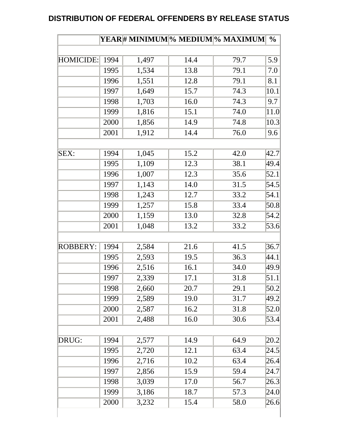#### **DISTRIBUTION OF FEDERAL OFFENDERS BY RELEASE STATUS**

|                 |              |       |              | <b>YEAR# MINIMUM % MEDIUM % MAXIMUM </b> | $\frac{0}{0}$ |
|-----------------|--------------|-------|--------------|------------------------------------------|---------------|
|                 |              |       |              |                                          |               |
| HOMICIDE:       | 1994         | 1,497 | 14.4         | 79.7                                     | 5.9           |
|                 | 1995         | 1,534 | 13.8         | 79.1                                     | 7.0           |
|                 | 1996         | 1,551 | 12.8         | 79.1                                     | 8.1           |
|                 | 1997         | 1,649 | 15.7         | 74.3                                     | 10.1          |
|                 | 1998         | 1,703 | 16.0         | 74.3                                     | 9.7           |
|                 | 1999         | 1,816 | 15.1         | 74.0                                     | 11.0          |
|                 | 2000         | 1,856 | 14.9         | 74.8                                     | 10.3          |
|                 | 2001         | 1,912 | 14.4         | 76.0                                     | 9.6           |
| SEX:            | 1994         | 1,045 | 15.2         | 42.0                                     | 42.7          |
|                 | 1995         | 1,109 | 12.3         | 38.1                                     | 49.4          |
|                 | 1996         | 1,007 | 12.3         | 35.6                                     | 52.1          |
|                 | 1997         | 1,143 | 14.0         | 31.5                                     | 54.5          |
|                 | 1998         | 1,243 | 12.7         | 33.2                                     | 54.1          |
|                 | 1999         | 1,257 | 15.8         | 33.4                                     | 50.8          |
|                 | 2000         | 1,159 | 13.0         | 32.8                                     | 54.2          |
|                 | 2001         | 1,048 | 13.2         | 33.2                                     | 53.6          |
| <b>ROBBERY:</b> | 1994         | 2,584 | 21.6         | 41.5                                     | 36.7          |
|                 | 1995         | 2,593 | 19.5         | 36.3                                     | 44.1          |
|                 | 1996         | 2,516 | 16.1         | 34.0                                     | 49.9          |
|                 | 1997         | 2,339 | 17.1         | 31.8                                     | 51.1          |
|                 | 1998         | 2,660 | 20.7         | 29.1                                     | 50.2          |
|                 | 1999         | 2,589 | 19.0         | 31.7                                     | 49.2          |
|                 | 2000         | 2,587 | 16.2         | 31.8                                     | 52.0          |
|                 | 2001         | 2,488 | 16.0         | 30.6                                     | 53.4          |
| DRUG:           | 1994         | 2,577 | 14.9         | 64.9                                     | 20.2          |
|                 | 1995         |       | 12.1         | 63.4                                     | 24.5          |
|                 |              | 2,720 |              |                                          |               |
|                 | 1996<br>1997 | 2,716 | 10.2<br>15.9 | 63.4<br>59.4                             | 26.4<br>24.7  |
|                 | 1998         | 2,856 |              |                                          |               |
|                 | 1999         | 3,039 | 17.0         | 56.7                                     | 26.3          |
|                 | 2000         | 3,186 | 18.7<br>15.4 | 57.3<br>58.0                             | 24.0          |
|                 |              | 3,232 |              |                                          | 26.6          |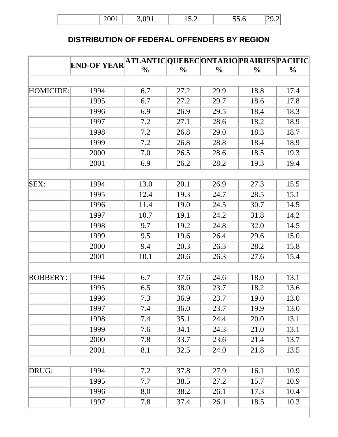| .                                         | $\Omega$ 1               | $\overline{ }$ | - -  |  |
|-------------------------------------------|--------------------------|----------------|------|--|
| $\rightarrow$ $\rightarrow$ $\rightarrow$ | $\overline{\phantom{a}}$ | 10.L           | JJ.V |  |

## **DISTRIBUTION OF FEDERAL OFFENDERS BY REGION**

|                 | END-OF YEAR ATLANTIC QUEBEC ONTARIO PRAIRIES PACIFIC |               |               |               |               |               |
|-----------------|------------------------------------------------------|---------------|---------------|---------------|---------------|---------------|
|                 |                                                      | $\frac{0}{0}$ | $\frac{0}{0}$ | $\frac{0}{0}$ | $\frac{0}{0}$ | $\frac{0}{0}$ |
|                 |                                                      |               |               |               |               |               |
| HOMICIDE:       | 1994                                                 | 6.7           | 27.2          | 29.9          | 18.8          | 17.4          |
|                 | 1995                                                 | 6.7           | 27.2          | 29.7          | 18.6          | 17.8          |
|                 | 1996                                                 | 6.9           | 26.9          | 29.5          | 18.4          | 18.3          |
|                 | 1997                                                 | 7.2           | 27.1          | 28.6          | 18.2          | 18.9          |
|                 | 1998                                                 | 7.2           | 26.8          | 29.0          | 18.3          | 18.7          |
|                 | 1999                                                 | 7.2           | 26.8          | 28.8          | 18.4          | 18.9          |
|                 | 2000                                                 | 7.0           | 26.5          | 28.6          | 18.5          | 19.3          |
|                 | 2001                                                 | 6.9           | 26.2          | 28.2          | 19.3          | 19.4          |
|                 |                                                      |               |               |               |               |               |
| SEX:            | 1994                                                 | 13.0          | 20.1          | 26.9          | 27.3          | 15.5          |
|                 | 1995                                                 | 12.4          | 19.3          | 24.7          | 28.5          | 15.1          |
|                 | 1996                                                 | 11.4          | 19.0          | 24.5          | 30.7          | 14.5          |
|                 | 1997                                                 | 10.7          | 19.1          | 24.2          | 31.8          | 14.2          |
|                 | 1998                                                 | 9.7           | 19.2          | 24.8          | 32.0          | 14.5          |
|                 | 1999                                                 | 9.5           | 19.6          | 26.4          | 29.6          | 15.0          |
|                 | 2000                                                 | 9.4           | 20.3          | 26.3          | 28.2          | 15.8          |
|                 | 2001                                                 | 10.1          | 20.6          | 26.3          | 27.6          | 15.4          |
|                 |                                                      |               |               |               |               |               |
| <b>ROBBERY:</b> | 1994                                                 | 6.7           | 37.6          | 24.6          | 18.0          | 13.1          |
|                 | 1995                                                 | 6.5           | 38.0          | 23.7          | 18.2          | 13.6          |
|                 | 1996                                                 | 7.3           | 36.9          | 23.7          | 19.0          | 13.0          |
|                 | 1997                                                 | 7.4           | 36.0          | 23.7          | 19.9          | 13.0          |
|                 | 1998                                                 | 7.4           | 35.1          | 24.4          | 20.0          | 13.1          |
|                 | 1999                                                 | 7.6           | 34.1          | 24.3          | 21.0          | 13.1          |
|                 | 2000                                                 | 7.8           | 33.7          | 23.6          | 21.4          | 13.7          |
|                 | 2001                                                 | 8.1           | 32.5          | 24.0          | 21.8          | 13.5          |
|                 |                                                      |               |               |               |               |               |
| DRUG:           | 1994                                                 | 7.2           | 37.8          | 27.9          | 16.1          | 10.9          |
|                 | 1995                                                 | 7.7           | 38.5          | 27.2          | 15.7          | 10.9          |
|                 | 1996                                                 | 8.0           | 38.2          | 26.1          | 17.3          | 10.4          |
|                 | 1997                                                 | 7.8           | 37.4          | 26.1          | 18.5          | 10.3          |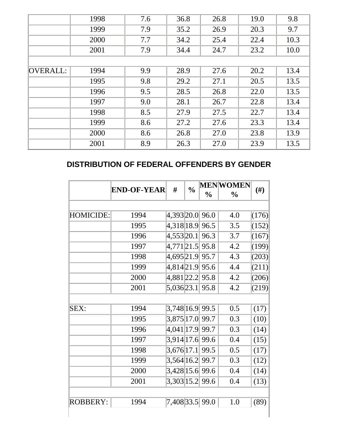|          | 1998 | 7.6 | 36.8 | 26.8 | 19.0 | 9.8  |
|----------|------|-----|------|------|------|------|
|          | 1999 | 7.9 | 35.2 | 26.9 | 20.3 | 9.7  |
|          | 2000 | 7.7 | 34.2 | 25.4 | 22.4 | 10.3 |
|          | 2001 | 7.9 | 34.4 | 24.7 | 23.2 | 10.0 |
|          |      |     |      |      |      |      |
| OVERALL: | 1994 | 9.9 | 28.9 | 27.6 | 20.2 | 13.4 |
|          | 1995 | 9.8 | 29.2 | 27.1 | 20.5 | 13.5 |
|          | 1996 | 9.5 | 28.5 | 26.8 | 22.0 | 13.5 |
|          | 1997 | 9.0 | 28.1 | 26.7 | 22.8 | 13.4 |
|          | 1998 | 8.5 | 27.9 | 27.5 | 22.7 | 13.4 |
|          | 1999 | 8.6 | 27.2 | 27.6 | 23.3 | 13.4 |
|          | 2000 | 8.6 | 26.8 | 27.0 | 23.8 | 13.9 |
|          | 2001 | 8.9 | 26.3 | 27.0 | 23.9 | 13.5 |
|          |      |     |      |      |      |      |

# **DISTRIBUTION OF FEDERAL OFFENDERS BY GENDER**

|                 | <b>END-OF-YEAR</b> | #                   | $\frac{0}{0}$ |               | <b>MENWOMEN</b> | $(\#)$ |
|-----------------|--------------------|---------------------|---------------|---------------|-----------------|--------|
|                 |                    |                     |               | $\frac{0}{0}$ | $\frac{0}{0}$   |        |
|                 |                    |                     |               |               |                 |        |
| HOMICIDE:       | 1994               | 4,393 20.0          |               | 96.0          | 4.0             | (176)  |
|                 | 1995               | 4,318 18.9          |               | 96.5          | 3.5             | (152)  |
|                 | 1996               | 4,553 20.1          |               | 96.3          | 3.7             | (167)  |
|                 | 1997               | 4,771 21.5          |               | 95.8          | 4.2             | (199)  |
|                 | 1998               | 4,695 21.9          |               | 95.7          | 4.3             | (203)  |
|                 | 1999               | 4,814 21.9          |               | 95.6          | 4.4             | (211)  |
|                 | 2000               | $4,881$ 22.2        |               | 95.8          | 4.2             | (206)  |
|                 | 2001               | 5,036 23.1          |               | 95.8          | 4.2             | (219)  |
|                 |                    |                     |               |               |                 |        |
| SEX:            | 1994               | $3,748$  16.9  99.5 |               |               | 0.5             | (17)   |
|                 | 1995               | 3,875 17.0          |               | 99.7          | 0.3             | (10)   |
|                 | 1996               | $4,041$ [17.9]      |               | 99.7          | 0.3             | (14)   |
|                 | 1997               | 3,914 17.6 99.6     |               |               | 0.4             | (15)   |
|                 | 1998               | $3,676$ [17.1]      |               | 99.5          | 0.5             | (17)   |
|                 | 1999               | 3,564 16.2          |               | 99.7          | 0.3             | (12)   |
|                 | 2000               | 3,428 15.6 99.6     |               |               | 0.4             | (14)   |
|                 | 2001               | 3,303 15.2          |               | 99.6          | 0.4             | (13)   |
|                 |                    |                     |               |               |                 |        |
| <b>ROBBERY:</b> | 1994               | 7,408 33.5 99.0     |               |               | 1.0             | (89)   |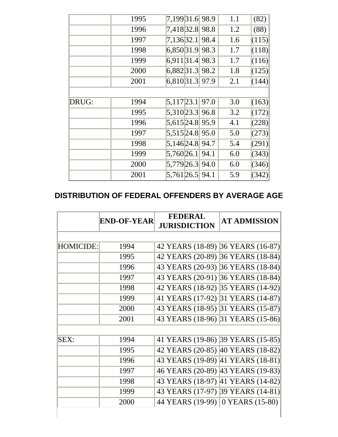|       | 1995 | 7,199 31.6 98.9     |      | 1.1 | (82)  |
|-------|------|---------------------|------|-----|-------|
|       | 1996 | 7,418 32.8 98.8     |      | 1.2 | (88)  |
|       | 1997 | 7,136 32.1          | 98.4 | 1.6 | (115) |
|       | 1998 | 6,850 31.9          | 98.3 | 1.7 | (118) |
|       | 1999 | 6,911 31.4          | 98.3 | 1.7 | (116) |
|       | 2000 | 6,882 31.3          | 98.2 | 1.8 | (125) |
|       | 2001 | $6,810$  31.3  97.9 |      | 2.1 | (144) |
|       |      |                     |      |     |       |
| DRUG: | 1994 | $ 5,117 23.1 $ 97.0 |      | 3.0 | (163) |
|       | 1995 | 5,310 23.3 96.8     |      | 3.2 | (172) |
|       | 1996 | 5,615 24.8 95.9     |      | 4.1 | (228) |
|       | 1997 | 5,515 24.8 95.0     |      | 5.0 | (273) |
|       | 1998 | 5,146 24.8 94.7     |      | 5.4 | (291) |
|       | 1999 | 5,760 26.1 94.1     |      | 6.0 | (343) |
|       | 2000 | 5,779 26.3 94.0     |      | 6.0 | (346) |
|       | 2001 | $5,761$ 26.5 94.1   |      | 5.9 | (342) |

#### **DISTRIBUTION OF FEDERAL OFFENDERS BY AVERAGE AGE**

|                  | <b>END-OF-YEAR</b> | <b>FEDERAL</b><br><b>JURISDICTION</b> | <b>AT ADMISSION</b> |
|------------------|--------------------|---------------------------------------|---------------------|
|                  |                    |                                       |                     |
| <b>HOMICIDE:</b> | 1994               | 42 YEARS (18-89) 36 YEARS (16-87)     |                     |
|                  | 1995               | 42 YEARS (20-89) 36 YEARS (18-84)     |                     |
|                  | 1996               | 43 YEARS (20-93) 36 YEARS (18-84)     |                     |
|                  | 1997               | 43 YEARS (20-91) 36 YEARS (18-84)     |                     |
|                  | 1998               | 42 YEARS (18-92) 35 YEARS (14-92)     |                     |
|                  | 1999               | 41 YEARS (17-92) 31 YEARS (14-87)     |                     |
|                  | 2000               | 43 YEARS (18-95) 31 YEARS (15-87)     |                     |
|                  | 2001               | 43 YEARS (18-96) 31 YEARS (15-86)     |                     |
|                  |                    |                                       |                     |
| SEX:             | 1994               | 41 YEARS (19-86) 39 YEARS (15-85)     |                     |
|                  | 1995               | 42 YEARS (20-85) 40 YEARS (18-82)     |                     |
|                  | 1996               | 43 YEARS (19-89) 41 YEARS (18-81)     |                     |
|                  | 1997               | 46 YEARS (20-89) 43 YEARS (19-83)     |                     |
|                  | 1998               | 43 YEARS (18-97) 41 YEARS (14-82)     |                     |
|                  | 1999               | 43 YEARS (17-97) 39 YEARS (14-81)     |                     |
|                  | 2000               | 44 YEARS (19-99) 0 YEARS (15-80)      |                     |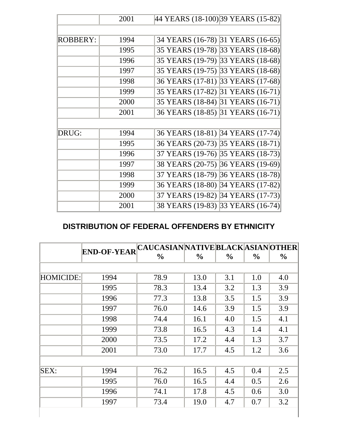|                 | 2001 | 44 YEARS (18-100) 39 YEARS (15-82)   |
|-----------------|------|--------------------------------------|
|                 |      |                                      |
| <b>ROBBERY:</b> | 1994 | 34 YEARS (16-78) 31 YEARS (16-65)    |
|                 | 1995 | 35 YEARS (19-78) 33 YEARS (18-68)    |
|                 | 1996 | 35 YEARS (19-79) 33 YEARS (18-68)    |
|                 | 1997 | 35 YEARS (19-75) 33 YEARS (18-68)    |
|                 | 1998 | 36 YEARS (17-81) 33 YEARS (17-68)    |
|                 | 1999 | 35 YEARS (17-82) 31 YEARS (16-71)    |
|                 | 2000 | 35 YEARS (18-84) 31 YEARS (16-71)    |
|                 | 2001 | 36 YEARS (18-85) 31 YEARS (16-71)    |
|                 |      |                                      |
| DRUG:           | 1994 | 36 YEARS (18-81) 34 YEARS (17-74)    |
|                 | 1995 | 36 YEARS (20-73) 35 YEARS (18-71)    |
|                 | 1996 | 35 YEARS (18-73)<br>37 YEARS (19-76) |
|                 | 1997 | 36 YEARS (19-69)<br>38 YEARS (20-75) |
|                 | 1998 | 36 YEARS (18-78)<br>37 YEARS (18-79) |
|                 | 1999 | 34 YEARS (17-82)<br>36 YEARS (18-80) |
|                 | 2000 | 37 YEARS (19-82) 34 YEARS (17-73)    |
|                 | 2001 | 38 YEARS (19-83) 33 YEARS (16-74)    |

## **DISTRIBUTION OF FEDERAL OFFENDERS BY ETHNICITY**

|                  | <b>END-OF-YEAR</b> | CAUCASIANNATIVE BLACK ASIAN OTHER |               |               |               |               |
|------------------|--------------------|-----------------------------------|---------------|---------------|---------------|---------------|
|                  |                    | $\frac{6}{9}$                     | $\frac{0}{0}$ | $\frac{0}{0}$ | $\frac{0}{0}$ | $\frac{0}{0}$ |
|                  |                    |                                   |               |               |               |               |
| <b>HOMICIDE:</b> | 1994               | 78.9                              | 13.0          | 3.1           | 1.0           | 4.0           |
|                  | 1995               | 78.3                              | 13.4          | 3.2           | 1.3           | 3.9           |
|                  | 1996               | 77.3                              | 13.8          | 3.5           | 1.5           | 3.9           |
|                  | 1997               | 76.0                              | 14.6          | 3.9           | 1.5           | 3.9           |
|                  | 1998               | 74.4                              | 16.1          | 4.0           | 1.5           | 4.1           |
|                  | 1999               | 73.8                              | 16.5          | 4.3           | 1.4           | 4.1           |
|                  | 2000               | 73.5                              | 17.2          | 4.4           | 1.3           | 3.7           |
|                  | 2001               | 73.0                              | 17.7          | 4.5           | 1.2           | 3.6           |
|                  |                    |                                   |               |               |               |               |
| SEX:             | 1994               | 76.2                              | 16.5          | 4.5           | 0.4           | 2.5           |
|                  | 1995               | 76.0                              | 16.5          | 4.4           | 0.5           | 2.6           |
|                  | 1996               | 74.1                              | 17.8          | 4.5           | 0.6           | 3.0           |
|                  | 1997               | 73.4                              | 19.0          | 4.7           | 0.7           | 3.2           |
|                  |                    |                                   |               |               |               |               |